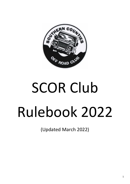

# SCOR Club Rulebook 2022

(Updated March 2022)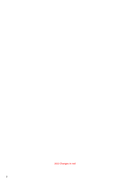Changes in red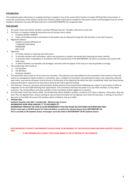# **Introduction**

This publication gives information to anybody wishing to compete in any of the events which Southern Counties Off Road Club Ltd promotes. It covers the construction of the vehicles and lists the minimum safety requirements needed for club events. Drivers and Passengers must be current members of Southern Counties Off Road Club Ltd or invited MOTORSPORT UK recognised Clubs.

# **Club Details**

- 1. The name of the club shall be 'Southern Counties Off Road Club Ltd'. Hereafter referred to as the Club.
- 2. The Club is a Company Limited by Guarantee and not having a share capital.
	- a. Company Number 2926429.
	- b. Copies of the Memorandum and Articles of Association may be obtained through the Club Secretary or the Club Treasurer.
- 3. Registered address:

Southern Counties Off Road Ltd 7 CANFORD VIEW DRIVE FERNDOWN **BH21 2UW** 

- 4. Objectives
	- a. To further interest in motoring and motor sport.
	- b. To provide members with information, advice and assistance on matters connected with motoring and motor vehicles.
	- c. To promote motor competitions in accordance with the requirements of the MOTORSPORT UK and to co-promote such events with other clubs.
	- d. To afford members such benefits and privileges consistent with the objects of the Club as it may be possible to arrange.
- 5. The membership shall consist of
	- a. Full members
	- b. Life Members
	- c. Honorary members
- 6. The Committee shall consist of not less than four members. The authority and responsibility for the transaction of the business of the Club and for its management shall be vested in a Committee, who, in addition to the powers and authorities by these rules, expressly conferred upon them, may exercise all powers and do all acts in furtherance of the objectives for which the club is established, other than those hereby expressly directed or required to be exercised or done by the Club in general meeting.
- 7. The Chairman, Treasurer, Secretary and Committee shall be elected at the Annual General Meeting and, subject to termination of office by resignation at the next AGM following their appointment. The Committee shall have the power to co-opt other members, as they deem necessary. The retiring officers and other members of the Committee shall be eligible for re-election.
- 8. The Club shall in each year hold an AGM. The membership will be notified in writing, a minimum of 21 days in advance, of the place, date and time. Plus, the Agenda items. Anyone wishing to raise an item/nomination for the agenda must notify the Secretary, in writing, no less than 7 days prior to the AGM. All current full members will be entitled to vote at an AGM.
- 9. **Membership:**

**Southern Counties only offer 1 membership Minimum age 14 years.** 

**MEMBERSHIP RUNS FROM JANUARY 1ST TO DECEMBER 31ST** 

**MEMBERSHIP THROUGH THE YEAR IS £10.00 MEMBERSHIP IS ON LINE PLEASE SEE SOUTHERN COUTHERN WEB PAGE**,

**Drivers must have a Full RTA licence for Trials and Safaris, as well as the relevant licence from MOTORSPORT UK.** 

**This is currently an RS Clubman licence. Passengers must also hold an MOTORSPORT UK RS Clubman licence.**

**WITH REFERENCE TO SAFETY; MOTORSPORT UK RULES HAVE TO BE ADHERED TO, THE SCOR RULE BOOK HAS BEEN UPDATED TO REFLECT THIS.**

 **IF ANY MEMBER HAS A QUERY, THEN PLEASE BRING TO THE ATTENTION OF THE COMMITEE**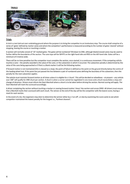# **TRIALS**



# **Trials**

A trial is a test laid out over undulating ground where the purpose is to bring the competitor to an involuntary stop. The course shall comprise of a series of 'gates' defined by marker canes and where the competitor's performance is measured according to the number of gates 'cleared' without stopping, leaving the course or touching a marker.

A section will normally consist of '10' marked gates. The gates will be numbered TEN down to ONE, although blank/crossed canes may be used to further define the boundaries of the section. The cane tops will be WHITE on the right-hand side and RED on the left-hand side. Gates will be a minimum of 3 metres wide.

There will be no time penalties but the competitor must complete the section, once started, in a continuous movement. If the competing vehicle touches a cane – the penalty awarded is the value of the cane, or the subsection in which it occurred. The subsection penalty is determined by the value of the cane being approached or if that is a blank marker it will be the following marker.

If forward motion is not maintained (this is classed as a stop), the point of failure is defined as the point on the ground directly below the centre of the leading wheel hub. If this point has just passed the line between a pair of numbered canes defining the boundary of the subsection, then the penalty for the next subsection applies.

The vehicle must maintain forward motion at all times unless it is eligible for a 'shunt'. This will be decided on wheelbase – at present – any vehicle over 100" will qualify for ONE shunt per section. A shunt is when a corner cannot be negotiated in one move and a shunt necessitates a stop and change of direction. Drivers must inform the Start Marshall where a shunt is to be taken before driving the section. Normal scoring will apply. The Start Marshall will mark the scorecard accordingly.

A driver completing the section without touching a marker or ceasing forward motion 'clears' the section and scores ZERO. All drivers must ensure that a Marshall marks their scorecard with each result. The winner at the end of the day will be the competitor with the lowest score, having a mark for each section.

In the event of a tie, the organisers may elect to determine the winner either by a 'run-off', or else by examining the score cards to see which competitor maintained the lowest penalty for the longest i.e., 'furthest cleanest'.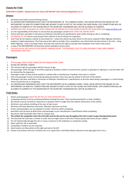# **Classes for Trials**

#### **SCOR RUN 2 CLASSES - Requirements for classes SEE BELOW Trials Technical Regulations no. 8**

### **Drivers**

- 1. All drivers must hold a current Driving Licence.
- 2. ALL DRIVERS AND PASSENGERS MUST HAVE THE MOTORSPORT UK RS CLUBMAN LICENCE, THIS CAN BE APPLIED FOR ONLINE VIA THE MOTORSPORT UK WEB SITE COMPETITORS ARE ADVISED TO KEEP A COPY OF THE LICENCE ON THEIR PHONE. LATE COMPETITORS WILL BE ALLOWED TO COMPETE AT THE DESCRETION OF THE SECRETARY, PASSENGERS WILL NOT BE ALLOWED TO COMPETE.
- 3. SIGNING ON IS NOT AVAILABLE ALL ENTRY FORMS ARE ON ONLINE GO TO SOUTHERN COUNTIES OFF ROAD WEB PAGE [www.scor4x4.co.uk](http://www.scor4x4.co.uk/) 4. It is the responsibility of the driver to ensure that any passengers carried HAVE DONE THE ONLINE ENTRY
- 5. Drivers will wear seat belts or harnesses as fitted per manufacturers specifications when either driving on site or competing.
- 6. ON ARRIVAL AT SITE drivers must present their vehicles to the Scrutineer for inspection.
- 7. Club Trials do not require a vehicle to have Road Tax unless the vehicle has been driven to the event using the Public Highway, therefore making it a legal requirement. The Club reserve the right to exclude, from competition, any vehicle that has been driven to the site – using Public Highway – that is not Road Taxed. The Club also reserves the right to exclude that Competitor from future Club events.
- 8. A copy of the MOTORSPORT UK blue book will be available at every event.
- 9. The entry fee for 2022 will be £35.00 WHERE CAMPING £40.00 THE INCREASE IS DUE TO LAND AVAILABLITY AND LAND OWNERS INCREASING THEIR FEES

# **Passengers**

- 1. All Passengers MUST HAVE COMPLETED AN ONLINE ENTRY FORM
- 2. PLEASE SEE DRIVERS 2 ABOVE
- 3. The minimum age for passengers will be 14 years of age.
- 4. Any passenger under the age of 16 will be required to produce a letter of consent from a parent or guardian at 'Signing-on' and this letter will be retained by the organisers.
- 5. Passengers under 16 may only be seated in a vehicle with a manufacturer's hardtop, truck cab or a roll bar.
- 6. Only one passenger may be carried during observed sections, they must also be seated in the front of the vehicle.
- 7. Passengers will wear seat belts or harnesses as fitted per manufacturer's specifications at all times when being a passenger in a vehicle being driven around the site or competing.
- 8. ALL DRIVERS AND PASSENGERS MUST HAVE THE MOTORSPORT UK RS CLUBMAN LICENCE. THESE CAN BE APPLIED FOR ONLINE VIA THE MOTORSPORT UK WEB SITE. COMPETITORS ARE ADVISED TO KEEP A COPY OF THE LICENCE ON THEIR PHONE. LATE COMPETITORS WILL BE ALLOWED TO COMPETE AT THE DESCRETION OF THE SECRETARY, PASSENGERS WILL NOT BE ALLOWED TO.

# **Trials Rules**

- 1. Drivers and passengers MUST BE ON THE LIST THAT SECRETARY HAS.
- 2. Competing vehicles must be scrutineered before starting the event. They must be presented in a clean condition.
- 3. All vehicles must be serviced or repaired on a tarpaulin which is larger than the exterior dimensions of the vehicle.
- 4. All drivers must attend a briefing at the start of each event.
- 5. All drivers will obey Marshals instruction. Marshal's decisions are final.
- 6. Drivers and passengers are not allowed to smoke / drink etc whilst competing.
- 7. Seat belts must be worn by both driver and passenger as per manufacturer's specification whilst competing.
- 8. No person shall travel/ride other than in a proper seat.
- 9. **The vehicle the competitor starts the trial with must be the one he uses throughout the trial in order to gain Championship points**.
- 10. The land that the Club uses is rented. In order that we might return to the site in future please take home all your rubbish.
- 11. Do not intentionally damage the site or cause a nuisance to the landowner or properties nearby.
- 12. Never spill fuel, oils or drop litter.
- 13. Competition numbers are not required.
- 14. Gate markers are Now white on the right and red on the left
- 15. Certain trial sections will now 2 finishes from 3 to 1 gate Class 2 will follow Multi coloured on the right gates from 3 to 1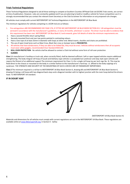# **Trials Technical Regulations**

These Technical Regulations designed to aid all those wishing to compete at Southern Counties Off Road Club Ltd (SCOR) Trials events, are correct at time of publication. However, rules are constantly updated and if you are planning to build or modify a vehicle for future competition use it is strongly recommended that you contact the relevant Event Secretary or the Club Scrutineer for information on any proposed rule changes.

All vehicles must comply with current MOTORSPORT UK Technical Regulations in the MOTORSPORT UK Blue Book.

The minimum regulations for vehicles competing in a SCOR trial are as follows:

- 1. Fire extinguishers ARE RECOMMENDED SEE PAGE 276, IF FITTED SEE MOTORSPORT UK BLUE BOOK SECTION K3.2 All extinguishers must be serviced in accordance with the manufacturer's guidelines, or every 24 months, whichever is sooner. The driver must be able to evidence that this requirement has been met. MOTORSPORT UK Blue Book K.3 and onwards, gives full details of what the minimum requirements are.
- 2. Have a second throttle return spring fitted.
- 3. Securely mounted front and rear tow points painted in contrasting colours.
- 4. Have a tow rope of at least 25mm in diameter with loops at either end. Metal inserts, shackles and chains are prohibited.
- 5. The use of open tread tyres such as Maxi Cross, Black Star cross or dumper tyres is **PROHIBITED.**
- 6. All vehicles that have windscreens; if they are able to be folded flat, they must be erect. Vehicles without windscreens then all occupants must wear safety goggles, recommended Visor Standard BS4110Z.
- 7. **ROLL OVER PROTECTION** No vehicle shall be allowed to contest a Club trial without some form of roll-over protection.
- 8. **CLASSES**

**Class 1** A manufacturer's hardtop or truck-cab, when correctly fitted, shall be deemed sufficient. Soft or open topped vehicles require additional strengthening. The body integral roll hoop of Suzuki and Daihatsu type vehicles is acceptable but Landrover and Jeep style open vehicles will require the fitment of an additional support The minimum requirement for Class 1 is for a single roll hoop (as per tech regs No. 3). This may be fixed direct to the chassis or mounted on the body in a similar fashion to the manufacturer's hard top. i.e. affixed to the body cappings of a Landrover. THE STRENGTH AND SECURITY OF THE MOUNTINGS OF SUCH A DEVICE ARE OF PARAMOUNT IMPORTANCE.

**Class 2** The minimum required is a roll bar to MOTORSPORT UK Blue Book Section K, drawing 60i and MOTORSPORT UK Blue Book Section K, drawing 31 being a roll hoop with two diagonal back-stays and a diagonal member with its highest junction with the main hoop behind the drivers head. To MOTORSPORT UK standard.

### **IF IN DOUBT ASK!**



(MOTORSPORT UK Blue Book Section K)

Materials and dimensions for all vehicles must comply with current regulations set out in the MOTORSPORT UK Blue Book. These regulations are available online at [www.MotorsportUK.org](http://www.motorsportuk.org/) in Section K - Safety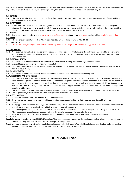The following Technical Regulations are mandatory for all vehicles competing at Club Trials events. Where there are several regulations concerning any particular subject it shall be taken, as a general principle, that one does not override another unless specifically stated.

# **T.A: SEATING**

T.A.1 The vehicle must be fitted with a minimum of ONE fixed seat for the driver. It is not required to have a passenger seat if there will be a single competitor in the vehicle.

### **T.B: SAFETY BELTS**

**T.B.1** Safety belts must be worn at all times during competition. The minimum requirement for a trial is a three point belt comprising one diagonal shoulder strap and one lap strap, with three anchorage points on the chassis/body shell or roll-over bar of the vehicle on either side and to the rear of the seat. The seat integral safety belt of the Range Rover is acceptable.

#### **T.C: BRAKES**

T.C.1 Independently operated rear brakes are allowed to be fitted but are not permitted to be used on trials vehicles while in competition. **T.D: TYRES**

T.D.1 The use of open tread tyres such as Maxi Cross, Black Star Cross or dumper tyres is PROHIBITED.

#### **T.E: TRANSMISSION**

T.E.1 The use of locked, locking axle differentials, limited-slip or torque-biasing axle differentials is only permitted in Class 2

#### **T.F: FUEL SYSTEMS**

T.F.1 Vehicles must have effectively sealed tank fillers and caps which do not protrude beyond the bodywork. These must have an efficient locking action to reduce the risk of accidental opening during an accident and ensure closing after refuelling. Air vents must be at least 25cm to the rear.

#### **T.G: ELECTRICAL SYSTEM**

- T.G.2 Vehicles must be equipped with an effective horn or other audible warning device emitting a continuous tone.
- T.G.3 A circuit breaker that cuts the engine is recommended.
- T.G.4 Vehicles fitted with automatic transmission systems shall have an operative starter inhibitor switch enabling the engine to be started in 'park' or 'neutral' only.

#### **T.H: EXHAUST SYSTEM**

T.H.1 Vehicles must have supplementary protection for exhaust systems that protrude behind the bodywork.

#### **T.J: WINDSCREENS AND SIDESCREENS**

- T.J.1 Vehicles that are fitted with windscreens must be of laminated glass, or plastic of a minimum thickness of 4mm; These must be fitted and erect and the height of which must be above the eye line of the occupants; Plastic side screens, where fitted, should also have a minimum 4mm thickness fitted. If No windscreens are fitted then safety goggles must be worn by all occupants. Recommended Visor Standard as per current MOTORSPORT UK regulations (Section K 11.2 in 2017 book). Goggles must be clear. If a windscreen is broken whilst in competition goggles must be worn.
- T.J.2 The use of mesh or net side screens on open vehicles to retain the limbs of a driver and passenger in the event of a roll over is advised.
- T.J.3 Tinted glass in any window which can affect through vision (in or out) is prohibited.

#### **T.K: MISCELLANEOUS**

- T.K.1 All non-secured items must be removed from inside the vehicle.
- T.K.2 Be prohibited from using cameras/video whilst competing, unless authorised by the Club Scrutineer and Clerk of the Course.

# **T.L: RECOVERY.**

- T.L.1 Be equipped with substantial recovery points front and rear painted in contrasting colours. A ball hitch whether mounted vertically or with the ball facing inwards, a tow hook, NATO hitch or Rhino hook are all acceptable.
- T.L.2 All recovery points should be securely mounted to the structure of the vehicle with bolts of an adequate size, strength and back plates.
- They must accept a rope loop and be secure without the use of shackles or other such attachments.

#### T.L.3 Have a tow rope of at least 25mm in diameter with loops at either end. Metal inserts, shackles and chains are prohibited.

#### **T.M: SAFETY.**

.

- **Regulations regarding safety are the MINIMUM required.** There are no standards governing the maximum standard allowed and competitors are advised that they should afford themselves the best protection possible.
- T.M.1 All vehicles must comply with safety regulations as itemised under their specific Technical Regulations and as detailed under the section headed Competitor Safety (section K) in the MOTORSPORT UK Competitor's Yearbook.

# **IF IN DOUBT ASK!**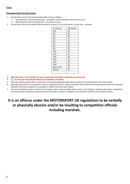# **Trials**

# **Championship Scoring System**

- 1. Results that count for the Championship table will be as follows:
	- a. Nine Round (or more) Championship competitor will be allowed to drop lowest score.
	- b. Eight Round (or less) Championship all rounds to count.
- 2. On the day of the event trophies will be award for at least 1st 2nd 3rd overall, in each class as below.

| 1st Overall | 100 points |
|-------------|------------|
| 2nd         | 90         |
| 3rd         | 85         |
| 4th         | 80         |
| 5th         | 75         |
| 6th         | 70         |
| 7th         | 65         |
| 8th         | 60         |
| 9th         | 55         |
| 10th        | 50         |
| 11th        | 45         |
| 12th        | 40         |
| 13th        | 35         |
| 14th        | 30         |
| 15th        | 25         |
| Below 15th  | 20         |
| Retired     | 10         |
|             |            |

- **3. NEW FOR 2022 IF YOU RETIRE YOU WILL ALLOCATED THE POINTS FOR BEING LAST IN CLASS**
- **4. I.E., 5th IN CLASS THEN DRIVER WOULD BE AWARDED 75 POINTS**
- 5. All results will be posted within a week and a running championship table will be posted on the Club website every two months.
- 6. Although Club events are competitive, they are supposed to be fun. Please remember that all officials and especially marshals are volunteers without whom there would be no competition. Please treat them with respect.
- 7. The club will attempt to give a minimum of 4 weeks' notice, where possible, when a date or site change or addition takes place. Competitors and club members need to be aware that their first point of contact re changes to the calendar should be the club Web website.

# **It is an offence under the MOTORSPORT UK regulations to be verbally or physically abusive and/or be insulting to competition officials including marshals.**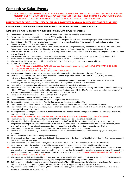# **Competitive Safari Events**

10. ALL DRIVERS AND PASSENGERS MUST HAVE THE MOTORSPORT UK RS CLUBMAN LICENCE, THESE CAN BE APPLIED FOR ONLINE VIA THE MOTORSPORT UK WEB SITE. COMPETITORS ARE ADVISED TO KEEP A COPY OF THE LICENCE ON THEIR PHONE. LATE COMPETITORS WILL BE ALLOWED TO COMPETE AT THE DESCRETION OF THE SECRETARY, PASSENGERS WILL NOT BE ALLOWED TO.

# **ENTRY FEE FOR SAFARIS IS NOW £130.00 THIS DUE TO LIMITED LAND AVAILABLITY AND COST OF THAT LAND**

# **Please note that Competition Licence Holders WILL NOT RECEIVE COPIES OF THE Blue BOOK**

# **All the MS UK Publications are now available on the MOTORSPORT UK website.**

- 1. The Southern Counties Off Road Club Ltd (SCOR) will run a clubman's status competitive safari event.
- 2. The event will be open to fully paid-up members of SCOR and invited clubs.
- 3. The event will be held under the General Regulations of the Motor Sports Association (incorporating the provisions of the International Sporting Code of the FIA), these Standing Regulations, any Supplementary Regulations (SR's) issued by the club and event notice board.
- 4. The event shall be run under a MOTORSPORT UK permit.
- 5. A vehicle may be entered with up to 3 drivers. Where a vehicle is driven during the season by more than one driver, it will be classed as a 'Team' entry for that season. Championship points will be awarded to the 'Team' comprising up to the maximum of 3 drivers.
- 6. All drivers must possess a valid Road Traffic Act (RTA) driving licence as well as an appropriate MOTORSPORT UK competition licence and club membership card.
- 7. All passengers must be at least 16 years of age and produce an appropriate club membership card and Their RS CLUBMANLICENCE
- 8. All drivers and passengers must sign on prior to the start of the event, on penalty of exclusion.
- 9. All competing vehicles must comply with the MOTORSPORT UK Technical Regulations for cross-country vehicles.
- 10. Vehicle classes will be as follows:
	- a. Class A 4WD vehicles up to 2500cc, 4WD vehicles with all leaf sprung suspension, engines free. 2WD CARS OF ANY ENGINE SIZE
	- b. Class B 4WD vehicles from 2501cc to 3600cc.
	- c. Class C 4WD vehicles, over 3600cc. ALL INDEPENDENT CARS OF ANY CC.
- 11. It is the responsibility of the competitor to ensure the vehicle has passed scrutineering prior to the start of the event.
- 12. Tyres must comply with the MOTORSPORT UK Blue Book, Common Regulations for Permitted Tyres (Section L, List 5). Further tyre restrictions, if any, will be notified on the ASR's
- 13. Competitors will be required to make a number of timed attempts at an arduous cross-country course. Each competitor will leave individually at timed intervals, usually one minute between each competitor. Timing will be to the second.
- 14. There will be a Penalty Free Time Allowance (PFTA) based on an average speed of 30 miles per hour.
- 15. Full details of the length of the course and the number of attempts shall be given at the drivers briefing prior to the start of the event along with the PFTA and the maximum time allowed for each attempt, if not available with the SR's. Force Majeure may reduce the number of attempts during the event. Competitors should check with the Clerk of the Course.
- 16. The course shall be clearly marked and no navigation shall be required.
- 17. Competitors may inspect the course on foot prior to the event.
- 18. The time taken for each attempt shall be posted as the elapsed time for that attempt.
- 19. If a competitor records a time less than PFTA, the time posted for that attempt shall be PFTA.
- 20. The competitor who finishes the event with the shortest total elapsed time for all attempts shall be declared the winner.
- 21. There will be a first overall permanent trophy awarded and first in class trophies. The first overall shall not receive a class trophy. 2<sup>nd</sup> and 3<sup>rd</sup> class places will also receive awards
- 22. If a competitor fails to complete the course within the maximum time allowed for each attempt, a 'maximum' time shall be posted as the elapsed time for that attempt.

For a competitor to qualify for a maximum, they must cross the START Line < there is no limit on the number of maximums.

- 23. The maximum time shall be determined by the Clerk of the Course and notified on the official notice board.
- 24. All competitors shall be allowed an equal amount of 'course open time', provided they start at the earliest possible opportunity. A competitor's course open time shall commence from the start of their first attempt or from the time the start line was first empty, which ever was the earlier. The duration of course open time shall be advised by the Clerk of the Course at the Driver's Briefing.
- 25. All recovery shall be at the discretion of the Clerk of the Course. THERE WILL BE NO LIVE RECOVERY.
- 26. Recovery back to the pits will only be attempted if competitor has the correct type of tow rope. incorrect tow rope, no recovery will be attempted
- 27. No penalty shall be awarded for receiving official recovery.
- 28. If the course is blocked a re-run may be awarded to affected competitors at the discretion of the Clerk of the Course. This must be requested before commencing the next lap.
- 29. Flags, where used by Marshals, must be obeyed as set out in the MOTORSPORT UK Competitors Yearbook (The 'Blue Book').
- 30. If the event is curtailed the number of laps shall be reduced according to the course open time available to the last starter
- 31. The land that the Club uses is rented. In order that we might return and for environmental reasons it is essential that no fuel or oils of any kind be spilt on the ground. An impermeable groundsheet larger in area than the competition vehicle is to be used to service the competition vehicle on. Under MOTORSPORT UK rules, a large spill kit will be available in the pits. ALL COMPETITORS MUST HAVE A GROUND SHEET TO CARRY OUT ANY REPAIRS DURING THE DAY
- 32. All competing crew shall be identified by a plastic/nylon constructed bracelet which shall only be issued at signing on. Competitors may be required to show their identifying bracelet at any time during the event but specifically on the start line.
- 38. Spill kits are required to be carried in all competition safari vehicles. The spill kit must contain the following as a minimum; 2 x absorbent pads 0.85 litre each, 1 x disposal bag with a means of closure, a zip tie is suggested, 1 x pair of disposable gloves.
- 39. Any competitor who acts Clerk of the course, Chief Marshall, Time keeping, will be entitled to have an average score for that event, the average will be worked out at the end of year.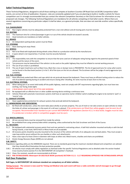# **Safari Technical Regulations**

These Technical Regulations, designed to aid all those wishing to compete at Southern Counties Off Road Club Ltd (SCOR) Competitive Safari events, are correct at time of publication. However, rules are constantly updated and if you are planning to build or modify a vehicle for future competition use it is strongly recommended that you contact the relevant Competition Secretary or the Club Scrutineer for information on any proposed rule changes. The following Technical Regulations are mandatory for all vehicles competing at Club Safari events. Where there are several regulations concerning any particular subject it shall be taken, as a general principle, that one does not override another unless specifically stated.

# **S.A. CHASSIS/BODY**

S.A.1 Rear engine vehicles must be adequately protected from a rear end collision and all moving parts must be covered.

#### **S.B. SEATING**

- S.B.1 The maximum time for a driver/passenger to get in or out of the vehicle should not exceed 5 seconds.
- S.B.2 Head restraints are mandatory on Safari vehicles.

### **S.C. BRAKES**

S.C.1 An independent parking brake system must be fitted.

# **S.D. STEERING**

S.D.1 Have steering lock stops fitted.

#### **S.E. WHEELS**

- S.E.1 Not to be fitted with duplicated driving wheels unless fitted on a production vehicle by the manufacturer.
- S.E.2 A spare wheel is not required but, if carried, must be securely fastened.

#### **S.F. TYRES**

- S.F.1 The responsibility rests with the competitor to ensure that the tyres used are of adequate rating having regard to the potential speed of their vehicle and the nature of the event.
- S.F.2 Tyre pressures may be lowered but if the vehicle is to be used on the public highway they must be inflated to normal working pressure.
- S.F.3 The use of tyre chains is prohibited.
- S.F.4 The use of open tread tyres such as Maxi Cross, Black Star cross or dumper tyres is PROHIBITED. The list of approved tyres for comp safari events can be found in the blue book (section L) in list 5. All of the tyres on this list are allowed. The Scrutineer will be the judge of overly aggressive tyre suitability.

#### **S.G. FUEL SYSTEMS**

S.G.1 Have effectively sealed tank fillers and caps which do not protrude beyond the bodywork. These must have an efficient locking action to reduce the risk of accidental opening during an accident and ensure closing after refuelling. Air vents must be at least 25cm to the rear.

#### **S.H. ELECTRICAL SYSTEMS.**

- S.H.1 When taking part in an event held totally off the public highway, need not comply with DfT requirements regarding lights, but must have two working, rear facing, brake lights
- S.H.2 2 REAR BRAKE LIGHTS MUST BE FITTED AND WORKING
- S.H.3 Be equipped with an effective horn or other audible warning device emitting a continuous tone.
- S.H.4 Vehicles fitted with automatic transmission systems shall have an operative starter inhibitor switch enabling the engine to be started in 'park' or 'neutral' only.

# **S.I. EXHAUST SYSTEMS.**

S.I.1 Have supplementary protection for exhaust systems that protrude behind the bodywork.

#### **S.J. WINDSCREENS AND SIDESCREENS.**

S.J.1 Be fitted with windscreen, unless the event takes place wholly on private property. The use of mesh or net side screens on open vehicles to retain the limbs of a driver and passenger in the event of a roll over is advised. If No windscreens are fitted then safety goggles must be worn by all occupants. Recommended Visor Standard as per current MOTORSPORT UK regulations (Section K11.2 in blue book). Goggles must be clear. If a windscreen is broken whilst in competition goggles must be worn.

#### **S.K. MISCELLANEOUS.**

- S.K.1 All non-secured items must be removed from inside the vehicle.
- S.K.2 Be prohibited from using cameras/video whilst competing, unless authorised by the Club Scrutineer and Clerk of the Course.

# **S.L. RECOVERY.**

- S.L.1 Be equipped with substantial recovery points front and rear painted in contrasting colours. A ball hitch whether mounted vertically or with the ball facing inwards, a tow hook, NATO hitch or Rhino hook are all acceptable.
- S.L.2 All recovery points should be securely mounted to the structure of the vehicle with bolts of an adequate size and back plates. They must accept a rope loop and be secure without the use shackles or other such attachments.
- S.L.3 Have a tow rope of at least 25mm in diameter with loops at either end. Metal inserts, shackles and chains are prohibited.
- S.L.4 Kinetic Energy Recovery Ropes (KERR) are not advised.

# **S.M. SAFETY.**

- Regulations regarding safety are the MINIMUM required. There are no standards governing the maximum standard allowed and competitors are advised that they should afford themselves the best protection possible.
- S.M.1 All vehicles must comply with safety regulations as itemised under the specific Technical Regulations and as detailed under the section headed Cross Country Events (section P) in the MOTORSPORT UK Competitor's Yearbook.
- S.M.2 Clean, fire resistant, overalls are recommended at all times

S.M.**3 FIRE EXTINGUISHERS: Motorsport UK 2022 BLUE BOOK (yearbook) SECTION K 3.2.1 - 3.2.7 REGARDING APPROVED FIRE EXTINGUISHERS APPLIES Roll Over Protection**

# **Roll Cages, to MOTORSPORT UK minimum standard are compulsory on all Safari vehicles.**

**Timing Caravan - The caravan is now used for Timing and Medical only each event will have a radio controller and all messages to go through the Radio Controller.**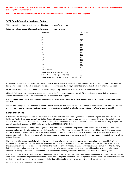#### **PAYMENT FOR SAFARIS CAN BE ANY OF THE FOLLWING ONLINE, BACs, MONEY ON THE DAY Money must be in an envelope with drivers name and competition number on it.**

**Entry on the day only under exceptional circumstances but online entry form will have to be completed.**

# **SCOR Safari Championship Points System.**

SCOR has traditionally run a club championship of around 8 safari's events a year.

Points from all rounds count towards the championship for club members.

| 1st Overall                                   | 250 points |
|-----------------------------------------------|------------|
| 2 <sub>nd</sub>                               | 230        |
| 3rd                                           | 220        |
| 4 <sup>th</sup>                               | 210        |
| 5th                                           | 200        |
| 6 <sup>th</sup>                               | 190        |
| 7th                                           | 180        |
| gth                                           | 170        |
| gth                                           | 160        |
| 10 <sup>th</sup>                              | 150        |
| 11 <sup>th</sup>                              | 140        |
| 12 <sup>th</sup>                              | 130        |
| 13 <sup>th</sup>                              | 120        |
| 14 <sup>th</sup>                              | 110        |
| 15 <sup>th</sup>                              | 100        |
| 16th or below                                 | 75         |
| Retired 50% of total laps completed           | 50         |
| Retired 25% of total laps completed           | 30         |
| Retired less than 25% of total laps completed | 10         |

A competitor who acts as the Clerk of the Course at a safari will receive an average points allocation for that event. Eg in a series of 7 events, the total points scored over the other six events will be added together and divided by 6 (regardless of whether all other events were entered)

All results will be posted within a week and a running championship table will be in the SCOR website every two months.

Although Club events are competitive, they are supposed to be fun. Please remember that all officials and especially marshals are volunteers without whom there would be no competition. Please treat them with respect.

#### **It is an offence under the MOTORSPORT UK regulations to be verbally or physically abusive and or insulting to competition officials including marshals.**

The club will attempt to give a minimum of 4 weeks' notice, where possible, when a date or site change or addition takes place. Competitors and club members need to be aware that their first point of contact re changes to the calendar should be the club Web site **(scor4x4.co.uk)**.

# **Randonnee Event**

A 'Randonnee' is a navigational scatter – of which SCOR'S 'Ebble Valley Trail' is widely regarded as one of the UK's premier events. The event is held using Public Highway and un-surfaced Rights of Way. It is suitable for all types of road legal cross-country vehicles, with the majority being standard production types. No modifications are required and only a minimum of extra equipment is needed: towrope and warning triangle. The event is open to all members of SCOR and any other invited MOTORSPORT UK Club.

A Randonnee will consist of a chosen route – given in various navigational formats. Competitors will be required to work from the Road Books provided and convert the information onto an Ordinance Survey map. The route can then be driven and points will be awarded for 'code boards' spotted at various intervals. These provide the scoring element of the event but there may be an extra exercise e.g., Trial section, in order to provide a tie break - in the event of a draw. Navigators will require a basic level of navigational skill but novices need not be put off, as help will be at hand if required.

The event provides an opportunity for off-road drivers, of all levels, to drive un-surfaced tracks within a controlled environment but with an additional competitive element. The route with every effort should be non-damaging in nature with regard to both the surface of the tracks and the competing vehicles. There is no speed element to the event; the only timing requirements being that competitors must report to the start, finish (and possibly a lunch stop) within a predetermined time. A Driver and Navigator are required but additional passengers may be carried. Trophies are usually awarded for the top ten finishers. The event traditionally runs over a weekend and is based in the Salisbury area.

It is the Club's constant goal to promote responsible use of the countryside. Using motorised vehicles has always been a contentious issue and the Club would hope to encourage not only considerate behaviour during the event but also that competitors can take away a philosophy that they will use in the future. Misuse of lanes and irresponsible behaviour will undoubtedly lead to further restrictions if not a total ban.

Please check the club calendar for future dates.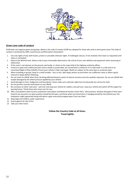

# **Green Lane code of conduct**

SCOR does not organise green-laning days. Below is the code of conduct SCOR has adopted for those who wish to drive green lanes The Code of conduct is produced by LARA. (Land Access and Recreation Association)

- 1. Use only rights of way with known, proven or provable vehicular rights. If challenged, discuss; if not resolved, then leave as requested until status is rechecked.
- 2. Keep to the defined track. Detour only to pass immovable obstructions. Be critical of your own abilities and equipment when assessing an obstruction
- 3. If the route is not obvious on the ground, ask locally, or check on the maps held at the highway authority offices.
- 4. Travel at a quiet and unobtrusive pace and as slowly as practicable; we recommend a maximum of 12 mph when in a 4x4 and on an Unsurfaced Right of Way (URoW). Ensure your vehicle is fully road-legal, URoW are subject to the same laws as surfaced roads.
- 5. When travelling in groups, keep to a small number four or less. Split larger parties up and either use a different route or allow a good interval to elapse before following.
- 6. Do not travel on URoW when they risk being affected beyond a point of natural recovery once the weather improves. Do not use URoW that maybe damaged by the wheel pressure applied by your vehicle.
- 7. Avoid damage to trees, hedgerows and boundaries. Some roads carry vehicular rights but are physically too narrow for 4x4s.
- 8. Do not practice recovery techniques on any URoW..
- 9. Be courteous to other road users pull over and stop your vehicle for walkers, but pull over, stop your vehicle and switch off the engine for passing horses. Thank those who move over for you.
- 10. After consultations with Country Landowners Association and National Farmers Union HQ's, "best practice" dictates that gates if they were found to be secured in an open position should be left open, and those which are found shut or swinging should be shut behind you; the landowner might appreciate being told about a gate insecurely propped open if you see them.
- 11. Keep dogs and children under supervision.
- 12. Guard against all risks of fire.
- 13. Take your litter home

# **Follow the Country Code at all times. Tread Lightly**